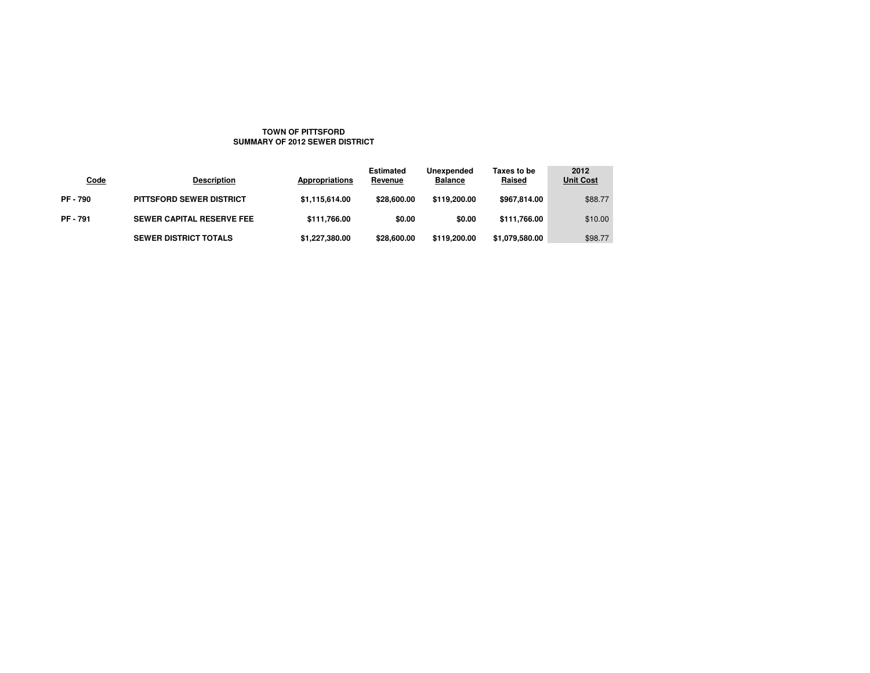## **TOWN OF PITTSFORDSUMMARY OF 2012 SEWER DISTRICT**

| <b>Code</b>   | <b>Description</b>               | Appropriations | <b>Estimated</b><br>Revenue | Unexpended<br><b>Balance</b> | Taxes to be<br>Raised | 2012<br><b>Unit Cost</b> |
|---------------|----------------------------------|----------------|-----------------------------|------------------------------|-----------------------|--------------------------|
| <b>PF-790</b> | <b>PITTSFORD SEWER DISTRICT</b>  | \$1,115,614.00 | \$28,600,00                 | \$119,200,00                 | \$967.814.00          | \$88.77                  |
| <b>PF-791</b> | <b>SEWER CAPITAL RESERVE FEE</b> | \$111,766.00   | \$0.00                      | \$0.00                       | \$111,766.00          | \$10.00                  |
|               | <b>SEWER DISTRICT TOTALS</b>     | \$1,227,380.00 | \$28,600.00                 | \$119,200.00                 | \$1,079,580.00        | \$98.77                  |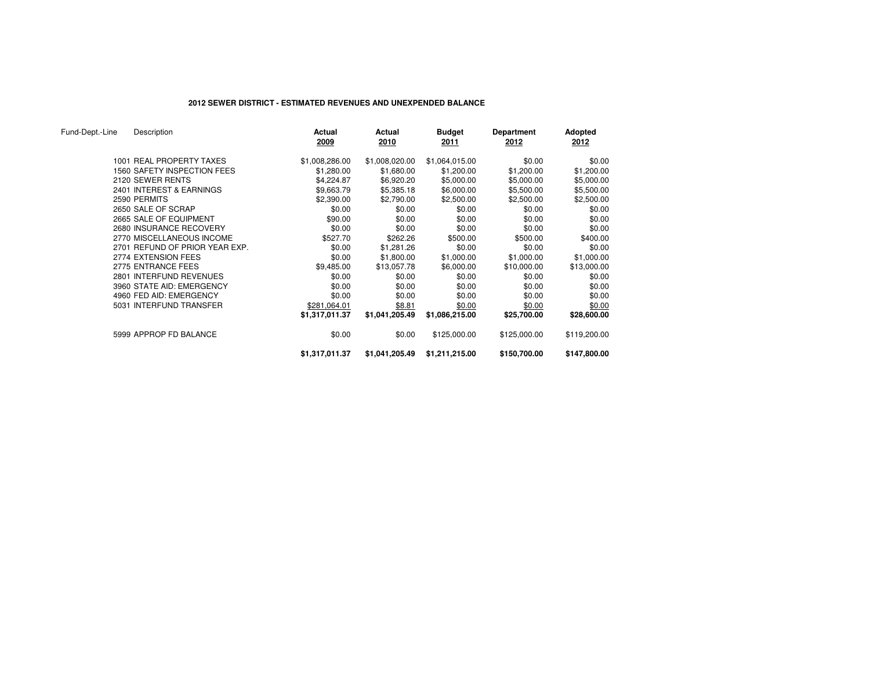# **2012 SEWER DISTRICT - ESTIMATED REVENUES AND UNEXPENDED BALANCE**

| Fund-Dept.-Line | Description                    | Actual<br>2009 | Actual<br>2010 | <b>Budget</b><br>2011 | Department<br>2012 | <b>Adopted</b><br>2012 |
|-----------------|--------------------------------|----------------|----------------|-----------------------|--------------------|------------------------|
|                 | 1001 REAL PROPERTY TAXES       | \$1,008,286.00 | \$1,008,020.00 | \$1,064,015.00        | \$0.00             | \$0.00                 |
|                 | 1560 SAFETY INSPECTION FEES    | \$1,280.00     | \$1,680.00     | \$1,200.00            | \$1,200.00         | \$1,200.00             |
|                 | 2120 SEWER RENTS               | \$4,224.87     | \$6,920.20     | \$5,000.00            | \$5,000.00         | \$5,000.00             |
|                 | 2401 INTEREST & EARNINGS       | \$9,663.79     | \$5,385.18     | \$6,000.00            | \$5,500.00         | \$5,500.00             |
|                 | 2590 PERMITS                   | \$2,390.00     | \$2,790.00     | \$2,500.00            | \$2,500.00         | \$2,500.00             |
|                 | 2650 SALE OF SCRAP             | \$0.00         | \$0.00         | \$0.00                | \$0.00             | \$0.00                 |
|                 | 2665 SALE OF EQUIPMENT         | \$90.00        | \$0.00         | \$0.00                | \$0.00             | \$0.00                 |
|                 | 2680 INSURANCE RECOVERY        | \$0.00         | \$0.00         | \$0.00                | \$0.00             | \$0.00                 |
|                 | 2770 MISCELLANEOUS INCOME      | \$527.70       | \$262.26       | \$500.00              | \$500.00           | \$400.00               |
|                 | 2701 REFUND OF PRIOR YEAR EXP. | \$0.00         | \$1,281.26     | \$0.00                | \$0.00             | \$0.00                 |
|                 | 2774 EXTENSION FEES            | \$0.00         | \$1,800.00     | \$1,000.00            | \$1,000.00         | \$1,000.00             |
|                 | 2775 ENTRANCE FEES             | \$9,485.00     | \$13,057.78    | \$6,000.00            | \$10,000.00        | \$13,000.00            |
|                 | 2801 INTERFUND REVENUES        | \$0.00         | \$0.00         | \$0.00                | \$0.00             | \$0.00                 |
|                 | 3960 STATE AID: EMERGENCY      | \$0.00         | \$0.00         | \$0.00                | \$0.00             | \$0.00                 |
|                 | 4960 FED AID: EMERGENCY        | \$0.00         | \$0.00         | \$0.00                | \$0.00             | \$0.00                 |
|                 | 5031 INTERFUND TRANSFER        | \$281,064.01   | \$8.81         | \$0.00                | \$0.00             | \$0.00                 |
|                 |                                | \$1,317,011.37 | \$1,041,205.49 | \$1,086,215.00        | \$25,700.00        | \$28,600.00            |
|                 | 5999 APPROP FD BALANCE         | \$0.00         | \$0.00         | \$125,000.00          | \$125,000.00       | \$119,200.00           |
|                 |                                | \$1,317,011.37 | \$1,041,205.49 | \$1,211,215.00        | \$150,700.00       | \$147,800.00           |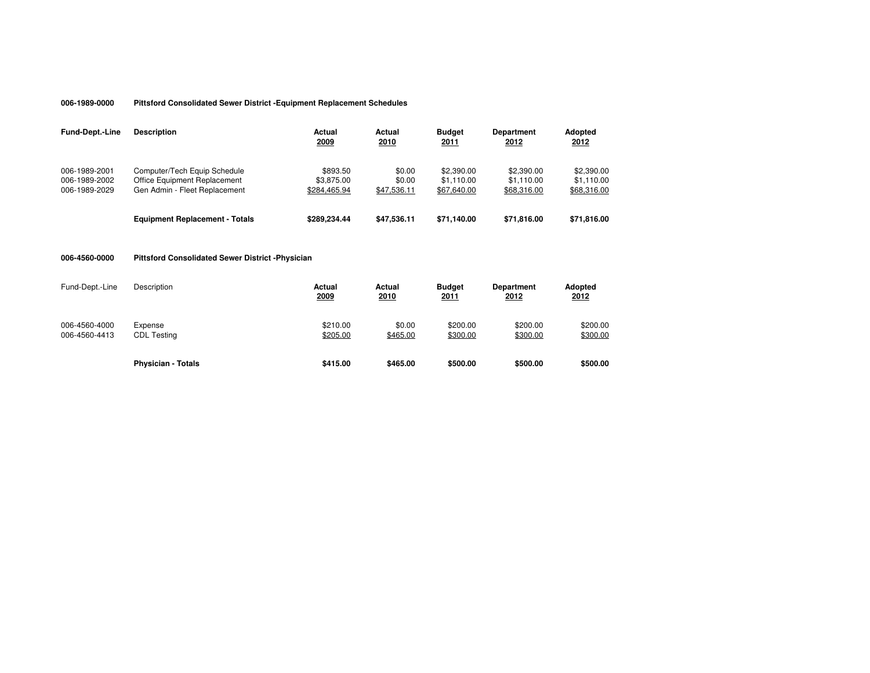#### **006-1989-0000Pittsford Consolidated Sewer District -Equipment Replacement Schedules**

| <b>Fund-Dept.-Line</b>                          | <b>Description</b>                                                                            | Actual<br>2009                         | Actual<br>2010                  | <b>Budget</b><br>2011                   | <b>Department</b><br>2012               | Adopted<br>2012                         |
|-------------------------------------------------|-----------------------------------------------------------------------------------------------|----------------------------------------|---------------------------------|-----------------------------------------|-----------------------------------------|-----------------------------------------|
| 006-1989-2001<br>006-1989-2002<br>006-1989-2029 | Computer/Tech Equip Schedule<br>Office Equipment Replacement<br>Gen Admin - Fleet Replacement | \$893.50<br>\$3,875.00<br>\$284.465.94 | \$0.00<br>\$0.00<br>\$47,536.11 | \$2,390.00<br>\$1.110.00<br>\$67,640.00 | \$2.390.00<br>\$1.110.00<br>\$68,316.00 | \$2,390.00<br>\$1.110.00<br>\$68,316.00 |
|                                                 | <b>Equipment Replacement - Totals</b>                                                         | \$289.234.44                           | \$47.536.11                     | \$71.140.00                             | \$71,816,00                             | \$71,816.00                             |

## **006-4560-0000Pittsford Consolidated Sewer District -Physician**

| Fund-Dept.-Line                | Description                   | Actual<br>2009       | Actual<br>2010     | <b>Budget</b><br>2011 | <b>Department</b><br>2012 | Adopted<br>2012      |
|--------------------------------|-------------------------------|----------------------|--------------------|-----------------------|---------------------------|----------------------|
| 006-4560-4000<br>006-4560-4413 | Expense<br><b>CDL Testing</b> | \$210.00<br>\$205.00 | \$0.00<br>\$465.00 | \$200.00<br>\$300.00  | \$200.00<br>\$300.00      | \$200.00<br>\$300.00 |
|                                | <b>Physician - Totals</b>     | \$415.00             | \$465.00           | \$500.00              | \$500.00                  | \$500.00             |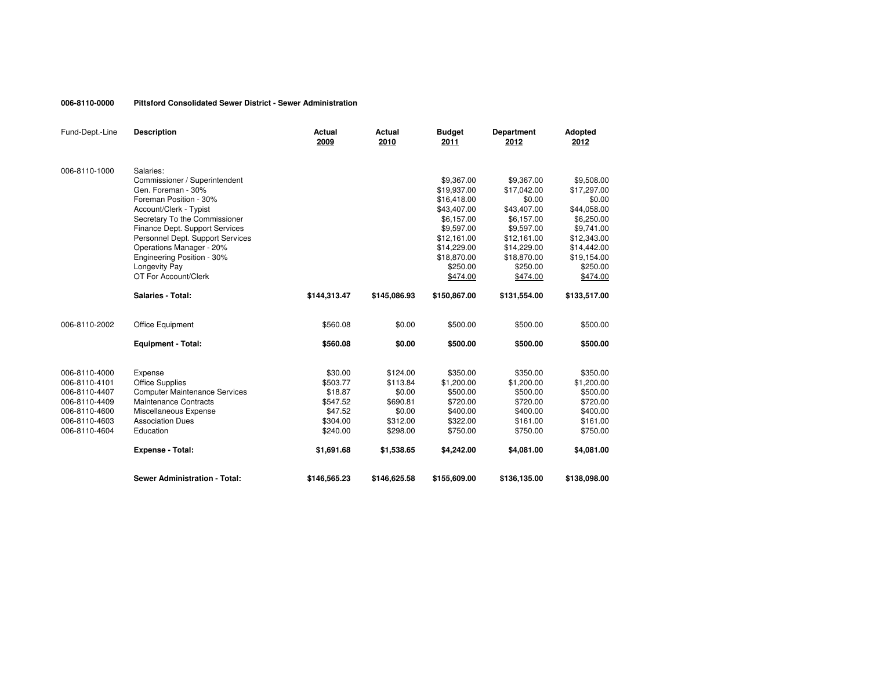#### **006-8110-0000Pittsford Consolidated Sewer District - Sewer Administration**

| Fund-Dept.-Line                | <b>Description</b>                   | Actual<br>2009      | <b>Actual</b><br>2010 | <b>Budget</b><br>2011  | <b>Department</b><br>2012 | Adopted<br>2012        |
|--------------------------------|--------------------------------------|---------------------|-----------------------|------------------------|---------------------------|------------------------|
| 006-8110-1000                  | Salaries:                            |                     |                       |                        |                           |                        |
|                                | Commissioner / Superintendent        |                     |                       | \$9,367.00             | \$9,367.00                | \$9,508.00             |
|                                | Gen. Foreman - 30%                   |                     |                       | \$19,937.00            | \$17,042.00               | \$17,297.00            |
|                                | Foreman Position - 30%               |                     |                       | \$16,418.00            | \$0.00                    | \$0.00                 |
|                                | Account/Clerk - Typist               |                     |                       | \$43,407.00            | \$43,407.00               | \$44,058.00            |
|                                | Secretary To the Commissioner        |                     |                       | \$6,157.00             | \$6,157.00                | \$6,250.00             |
|                                | Finance Dept. Support Services       |                     |                       | \$9,597.00             | \$9,597.00                | \$9,741.00             |
|                                | Personnel Dept. Support Services     |                     |                       | \$12,161.00            | \$12,161.00               | \$12,343.00            |
|                                | Operations Manager - 20%             |                     |                       | \$14,229.00            | \$14,229.00               | \$14,442.00            |
|                                | Engineering Position - 30%           |                     |                       | \$18,870.00            | \$18,870.00               | \$19,154.00            |
|                                | Longevity Pay                        |                     |                       | \$250.00               | \$250.00                  | \$250.00               |
|                                | OT For Account/Clerk                 |                     |                       | \$474.00               | \$474.00                  | \$474.00               |
|                                | <b>Salaries - Total:</b>             | \$144,313.47        | \$145,086.93          | \$150,867.00           | \$131,554.00              | \$133,517.00           |
| 006-8110-2002                  | Office Equipment                     | \$560.08            | \$0.00                | \$500.00               | \$500.00                  | \$500.00               |
|                                | <b>Equipment - Total:</b>            | \$560.08            | \$0.00                | \$500.00               | \$500.00                  | \$500.00               |
|                                |                                      |                     |                       |                        |                           |                        |
| 006-8110-4000<br>006-8110-4101 | Expense<br><b>Office Supplies</b>    | \$30.00<br>\$503.77 | \$124.00<br>\$113.84  | \$350.00<br>\$1,200.00 | \$350.00<br>\$1,200.00    | \$350.00<br>\$1,200.00 |
| 006-8110-4407                  | <b>Computer Maintenance Services</b> | \$18.87             | \$0.00                | \$500.00               | \$500.00                  | \$500.00               |
| 006-8110-4409                  | <b>Maintenance Contracts</b>         | \$547.52            | \$690.81              | \$720.00               | \$720.00                  | \$720.00               |
| 006-8110-4600                  | Miscellaneous Expense                | \$47.52             | \$0.00                | \$400.00               | \$400.00                  | \$400.00               |
| 006-8110-4603                  | <b>Association Dues</b>              | \$304.00            | \$312.00              | \$322.00               | \$161.00                  | \$161.00               |
| 006-8110-4604                  | Education                            | \$240.00            | \$298.00              | \$750.00               | \$750.00                  | \$750.00               |
|                                | <b>Expense - Total:</b>              | \$1,691.68          | \$1,538.65            | \$4,242.00             | \$4,081.00                | \$4,081.00             |
|                                | <b>Sewer Administration - Total:</b> | \$146,565.23        | \$146,625.58          | \$155,609.00           | \$136,135.00              | \$138,098.00           |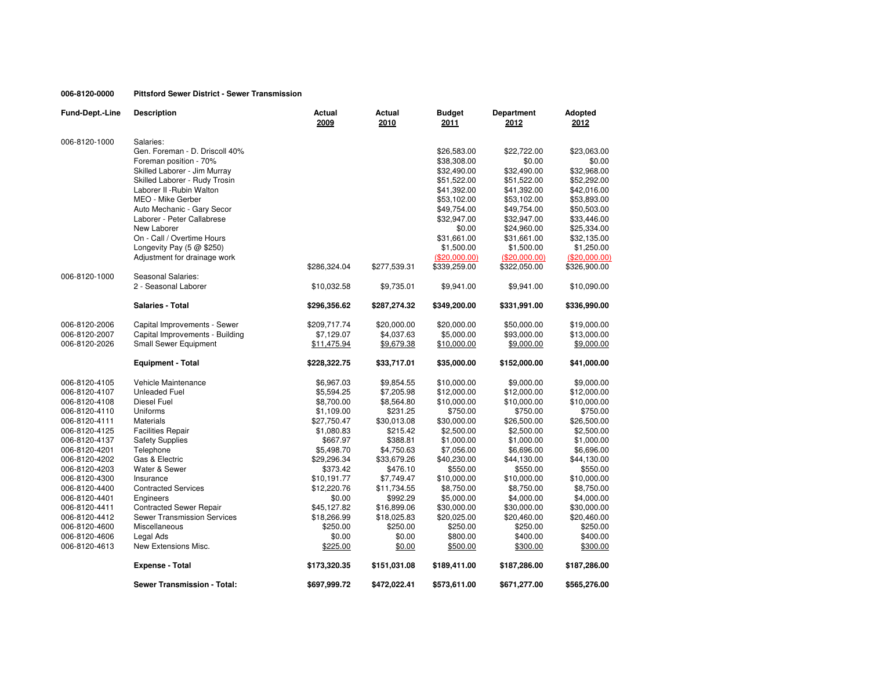## **006-8120-0000Pittsford Sewer District - Sewer Transmission**

| Fund-Dept.-Line | <b>Description</b>                 | Actual<br>2009 | Actual<br>2010 | <b>Budget</b><br>2011 | Department<br>2012 | Adopted<br>2012 |
|-----------------|------------------------------------|----------------|----------------|-----------------------|--------------------|-----------------|
| 006-8120-1000   | Salaries:                          |                |                |                       |                    |                 |
|                 | Gen. Foreman - D. Driscoll 40%     |                |                | \$26,583.00           | \$22,722.00        | \$23,063.00     |
|                 | Foreman position - 70%             |                |                | \$38,308.00           | \$0.00             | \$0.00          |
|                 | Skilled Laborer - Jim Murray       |                |                | \$32,490.00           | \$32,490.00        | \$32,968.00     |
|                 | Skilled Laborer - Rudy Trosin      |                |                | \$51,522.00           | \$51,522.00        | \$52,292.00     |
|                 | Laborer II - Rubin Walton          |                |                | \$41,392.00           | \$41,392.00        | \$42,016.00     |
|                 | MEO - Mike Gerber                  |                |                | \$53,102.00           | \$53,102.00        | \$53,893.00     |
|                 | Auto Mechanic - Gary Secor         |                |                | \$49,754.00           | \$49,754.00        | \$50,503.00     |
|                 | Laborer - Peter Callabrese         |                |                | \$32,947.00           | \$32,947.00        | \$33,446.00     |
|                 | New Laborer                        |                |                | \$0.00                | \$24,960.00        | \$25,334.00     |
|                 | On - Call / Overtime Hours         |                |                | \$31,661.00           | \$31,661.00        | \$32,135.00     |
|                 | Longevity Pay $(5 \oslash 250)$    |                |                | \$1,500.00            | \$1,500.00         | \$1,250.00      |
|                 | Adjustment for drainage work       |                |                | (\$20,000.00)         | (\$20,000.00)      | (\$20,000.00)   |
|                 |                                    | \$286,324.04   | \$277,539.31   | \$339,259.00          | \$322,050.00       | \$326,900.00    |
| 006-8120-1000   | Seasonal Salaries:                 |                |                |                       |                    |                 |
|                 | 2 - Seasonal Laborer               | \$10,032.58    | \$9,735.01     | \$9,941.00            | \$9,941.00         | \$10,090.00     |
|                 | <b>Salaries - Total</b>            | \$296,356.62   | \$287,274.32   | \$349,200.00          | \$331,991.00       | \$336,990.00    |
| 006-8120-2006   | Capital Improvements - Sewer       | \$209,717.74   | \$20,000.00    | \$20,000.00           | \$50,000.00        | \$19,000.00     |
| 006-8120-2007   | Capital Improvements - Building    | \$7,129.07     | \$4,037.63     | \$5,000.00            | \$93,000.00        | \$13,000.00     |
| 006-8120-2026   | <b>Small Sewer Equipment</b>       | \$11,475.94    | \$9,679.38     | \$10,000.00           | \$9,000.00         | \$9,000.00      |
|                 | <b>Equipment - Total</b>           | \$228,322.75   | \$33,717.01    | \$35,000.00           | \$152,000.00       | \$41,000.00     |
| 006-8120-4105   | Vehicle Maintenance                | \$6,967.03     | \$9,854.55     | \$10,000.00           | \$9,000.00         | \$9,000.00      |
| 006-8120-4107   | <b>Unleaded Fuel</b>               | \$5,594.25     | \$7,205.98     | \$12,000.00           | \$12,000.00        | \$12,000.00     |
| 006-8120-4108   | <b>Diesel Fuel</b>                 | \$8,700.00     | \$8,564.80     | \$10,000.00           | \$10,000.00        | \$10,000.00     |
| 006-8120-4110   | Uniforms                           | \$1,109.00     | \$231.25       | \$750.00              | \$750.00           | \$750.00        |
| 006-8120-4111   | <b>Materials</b>                   | \$27,750.47    | \$30,013.08    | \$30,000.00           | \$26,500.00        | \$26,500.00     |
| 006-8120-4125   | <b>Facilities Repair</b>           | \$1,080.83     | \$215.42       | \$2,500.00            | \$2,500.00         | \$2,500.00      |
| 006-8120-4137   | <b>Safety Supplies</b>             | \$667.97       | \$388.81       | \$1,000.00            | \$1,000.00         | \$1,000.00      |
| 006-8120-4201   | Telephone                          | \$5,498.70     | \$4,750.63     | \$7,056.00            | \$6,696.00         | \$6,696.00      |
| 006-8120-4202   | Gas & Electric                     | \$29,296.34    | \$33,679.26    | \$40,230.00           | \$44,130.00        | \$44,130.00     |
| 006-8120-4203   | Water & Sewer                      | \$373.42       | \$476.10       | \$550.00              | \$550.00           | \$550.00        |
| 006-8120-4300   | Insurance                          | \$10,191.77    | \$7,749.47     | \$10,000.00           | \$10,000.00        | \$10,000.00     |
| 006-8120-4400   | <b>Contracted Services</b>         | \$12,220.76    | \$11,734.55    | \$8,750.00            | \$8,750.00         | \$8,750.00      |
| 006-8120-4401   | Engineers                          | \$0.00         | \$992.29       | \$5,000.00            | \$4,000.00         | \$4,000.00      |
| 006-8120-4411   | <b>Contracted Sewer Repair</b>     | \$45,127.82    | \$16,899.06    | \$30,000.00           | \$30,000.00        | \$30,000.00     |
| 006-8120-4412   | <b>Sewer Transmission Services</b> | \$18,266.99    | \$18,025.83    | \$20,025.00           | \$20,460.00        | \$20,460.00     |
| 006-8120-4600   | Miscellaneous                      | \$250.00       | \$250.00       | \$250.00              | \$250.00           | \$250.00        |
| 006-8120-4606   | Legal Ads                          | \$0.00         | \$0.00         | \$800.00              | \$400.00           | \$400.00        |
| 006-8120-4613   | New Extensions Misc.               | \$225.00       | \$0.00         | \$500.00              | \$300.00           | \$300.00        |
|                 | <b>Expense - Total</b>             | \$173,320.35   | \$151,031.08   | \$189,411.00          | \$187,286.00       | \$187,286.00    |
|                 | <b>Sewer Transmission - Total:</b> | \$697,999.72   | \$472,022.41   | \$573,611.00          | \$671,277.00       | \$565,276.00    |